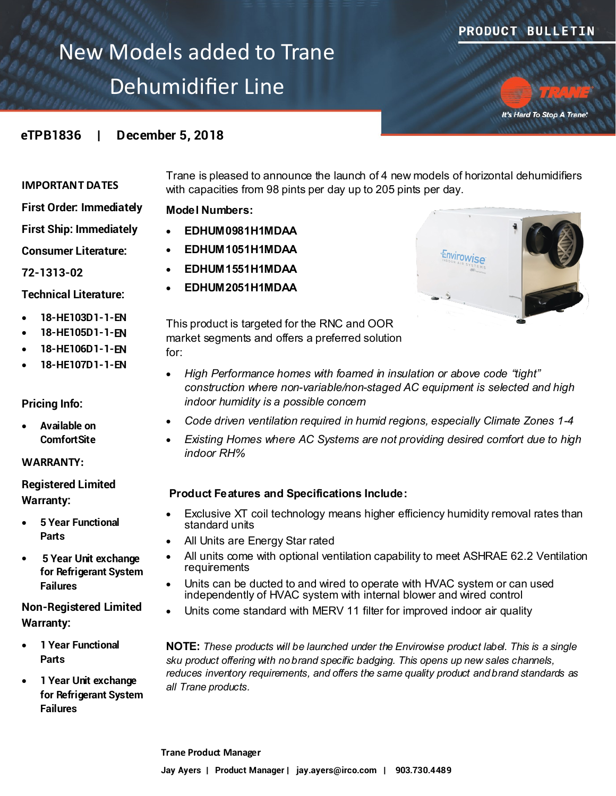# **PRODUCT BULLETIN**

# New Models added to Trane Dehumidifier Line



# **eTPB1836 | December 5, 2018**

#### **IMPORTANT DATES**

**First Order: Immediately** 

**First Ship: Immediately Consumer Literature:**

**72-1313-02**

**Technical Literature:**

- **18-HE103D1-1-EN**
- **18-HE105D1-1-**
- **18-HE106D1-1-**
- **18-HE107D1-1-EN**

# **Pricing Info:**

 **Available on ComfortSite**

#### **WARRANTY:**

**Registered Limited Warranty:**

- **5 Year Functional Parts**
- $\bullet$ 5 Year Unit exchange **for Refrigerant System Failures**

**Non-Registered Limited Warranty:**

- **1 Year Functional Parts**
- **1 Year Unit exchange for Refrigerant System Failures**

Trane is pleased to announce the launch of 4 new models of horizontal dehumidifiers with capacities from 98 pints per day up to 205 pints per day.

# **Model Numbers:**

- **EDHUM0981H1MDAA**
- **EDHUM1051H1MDAA**
- **EDHUM1551H1MDAA**
- **EDHUM2051H1MDAA**



This product is targeted for the RNC and OOR market segments and offers a preferred solution for:

- *High Performance homes with foamed in insulation or above code "tight" construction where non-variable/non-staged AC equipment is selected and high indoor humidity is a possible concern*
- *Code driven ventilation required in humid regions, especially Climate Zones 1-4*
- *Existing Homes where AC Systems are not providing desired comfort due to high indoor RH%*

# **Product Features and Specifications Include:**

- Exclusive XT coil technology means higher efficiency humidity removal rates than standard units
	- All Units are Energy Star rated
- All units come with optional ventilation capability to meet ASHRAE 62.2 Ventilation requirements
- Units can be ducted to and wired to operate with HVAC system or can used independently of HVAC system with internal blower and wired control
- Units come standard with MERV 11 filter for improved indoor air quality

**NOTE:** *These products will be launched under the Envirowise product label. This is a single sku product offering with no brand specific badging. This opens up new sales channels, reduces inventory requirements, and offers the same quality product and brand standards as all Trane products.* 

# **Trane Product Manager**